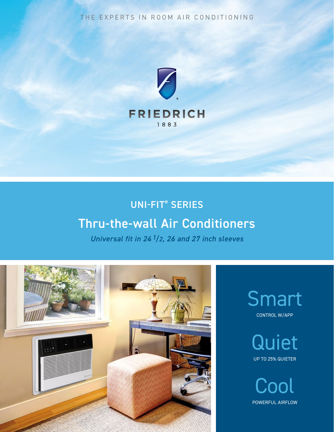THE EXPERTS IN ROOM AIR CONDITIONING



## UNI-FIT® SERIES

## Thru-the-wall Air Conditioners

*Universal fit in 24 1/2, 26 and 27 inch sleeves*



Smart CONTROL W/APP

> **Quiet** UP TO 25% QUIETER

**Cool** POWERFUL AIRFLOW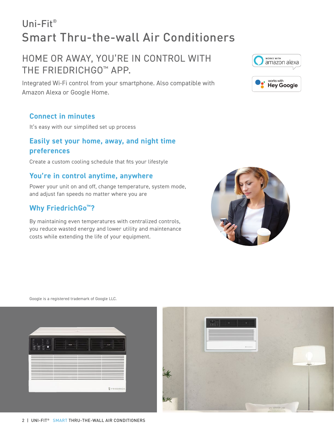# Uni-Fit® Smart Thru-the-wall Air Conditioners

## HOME OR AWAY, YOU'RE IN CONTROL WITH THE FRIEDRICHGO™ APP.

Integrated Wi-Fi control from your smartphone. Also compatible with Amazon Alexa or Google Home.

### **Connect in minutes**

It's easy with our simplified set up process

### **Easily set your home, away, and night time preferences**

Create a custom cooling schedule that fits your lifestyle

### **You're in control anytime, anywhere**

Power your unit on and off, change temperature, system mode, and adjust fan speeds no matter where you are

## **Why FriedrichGo™?**

By maintaining even temperatures with centralized controls, you reduce wasted energy and lower utility and maintenance costs while extending the life of your equipment.



Google is a registered trademark of Google LLC.





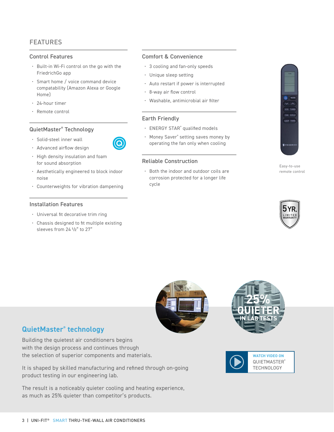#### Control Features

- Built-in Wi-Fi control on the go with the FriedrichGo app
- Smart home / voice command device compatability (Amazon Alexa or Google Home)
- 24-hour timer
- Remote control

#### QuietMaster® Technology

- Solid-steel inner wall
- Advanced airflow design
- High density insulation and foam for sound absorption
- Aesthetically engineered to block indoor noise
- Counterweights for vibration dampening

#### Installation Features

- Universal fit decorative trim ring
- Chassis designed to fit multiple existing sleeves from 24 1/2" to 27"

#### Comfort & Convenience

- 3 cooling and fan-only speeds
- Unique sleep setting
- Auto restart if power is interrupted
- 8-way air flow control
- Washable, antimicrobial air filter

#### Earth Friendly

- ENERGY STAR® qualified models
- Money Saver® setting saves money by operating the fan only when cooling

#### Reliable Construction

• Both the indoor and outdoor coils are corrosion protected for a longer life cycle





Easy-to-use remote control

**B** FRIEDRI

LEEP TIME





**WATCH VIDEO ON** [QUIETMASTER®](https://youtu.be/h-Bh09VNBjE) **TECHNOLOGY** 

### **QuietMaster® technology**

Building the quietest air conditioners begins with the design process and continues through the selection of superior components and materials.

It is shaped by skilled manufacturing and refined through on-going product testing in our engineering lab.

The result is a noticeably quieter cooling and heating experience, as much as 25% quieter than competitor's products.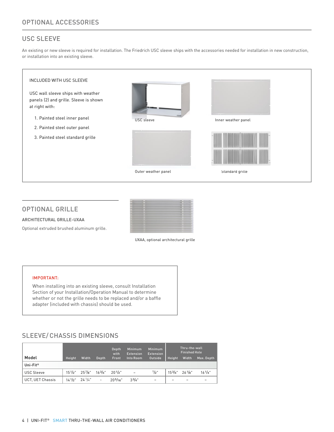#### USC SLEEVE

An existing or new sleeve is required for installation. The Friedrich USC sleeve ships with the accessories needed for installation in new construction, or installation into an existing sleeve.



#### OPTIONAL GRILLE

ARCHITECTURAL GRILLE-UXAA

Optional extruded brushed aluminum grille.



UXAA, optional architectural grille

#### IMPORTANT:

When installing into an existing sleeve, consult Installation Section of your Installation/Operation Manual to determine whether or not the grille needs to be replaced and/or a baffle adapter (included with chassis) should be used.

### SLEEVE/ CHASSIS DIMENSIONS

|                      |        |                           |                          | Depth<br>with        | Minimum<br><b>Extension</b> | <b>Minimum</b><br><b>Extension</b> | Thru-the-wall<br><b>Finished Hole</b> |                      |            |
|----------------------|--------|---------------------------|--------------------------|----------------------|-----------------------------|------------------------------------|---------------------------------------|----------------------|------------|
| Model                | Height | Width                     | Depth                    | Front                | Into Room                   | Outside                            | Height                                | Width                | Max. Depth |
| Uni-Fit <sup>®</sup> |        |                           |                          |                      |                             |                                    |                                       |                      |            |
| <b>USC Sleeve</b>    |        | $15^{1}/2$ " $25^{7}/8$ " | $16^{3}/4"$              | 201/2"               | $\overline{a}$              | $1/2$ "                            |                                       | $153/4"$ $26^{1}/8"$ | $16^{1/4"$ |
| UCT, UET Chassis     |        | $14^{1}/2$ " $24^{1}/4$ " | $\overline{\phantom{a}}$ | 20 <sup>5</sup> /16" | $3^{3}/4"$                  | $\equiv$                           |                                       | -                    | -          |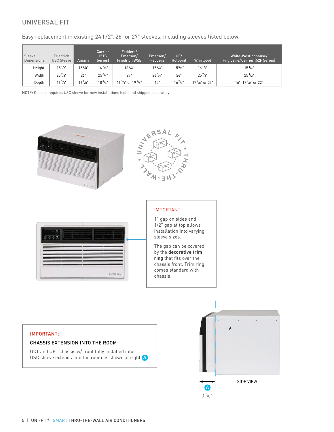### UNIVERSAL FIT

Easy replacement in existing 24 1/2", 26" or 27" sleeves, including sleeves listed below.

| Sleeve<br><b>Dimensions</b> | Friedrich<br><b>USC Sleeve</b> | Amana       | Carrier<br>[51S]<br>Series) | Fedders/<br>Emerson/<br><b>Friedrich WSE</b> | Emerson/<br><b>Fedders</b> | GE/<br>Hotpoint | Whirlpool        | White-Westinghouse/<br><b>Frigidaire/Carrier (52F Series)</b> |
|-----------------------------|--------------------------------|-------------|-----------------------------|----------------------------------------------|----------------------------|-----------------|------------------|---------------------------------------------------------------|
| Height                      | $15^{1}/2"$                    | $15^{5}/8"$ | $16^{7}/8"$                 | $16^{3}/4"$                                  | $15^{3}/4"$                | $15^{5}/8"$     | $16^{1}/2$ "     | $15^{1}/4"$                                                   |
| Width                       | $25^{7}/8"$                    | 26"         | $25^{3}/4"$                 | 27"                                          | $26^{3}/4"$                | 26"             | $25^{7}/s$ "     | $25^{1}/2"$                                                   |
| Depth                       | $16^{3}/4"$                    | $16^{7}/8"$ | $18^{5}/s$ "                | $163/4"$ or $193/4"$                         | 15"                        | $16^{7}/s$ "    | $171/s$ " or 23" | $16"$ , $17'$ / <sub>2</sub> " or 22"                         |

NOTE: Chassis requires USC sleeve for new installations (sold and shipped separately).



#### IMPORTANT:

#### CHASSIS EXTENSION INTO THE ROOM

UCT and UET chassis w/ front fully installed into USC sleeve extends into the room as shown at right  $\bigtriangleup$ 

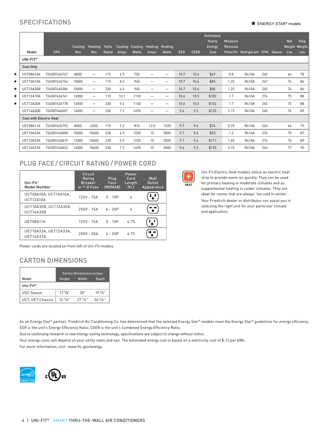### $SPECIFICATIONS$

|         |                                |              |            |                          |              |                 |       |                          |                                |            |             | <b>Estimated</b><br>Yearly | Moisture |                          |     |        | <b>Net</b> | Ship          |
|---------|--------------------------------|--------------|------------|--------------------------|--------------|-----------------|-------|--------------------------|--------------------------------|------------|-------------|----------------------------|----------|--------------------------|-----|--------|------------|---------------|
|         |                                |              | Cooling    | Heating                  | <b>Volts</b> | Cooling Cooling |       | <b>Heating Heating</b>   |                                |            |             | <b>Energy</b>              | Removal  |                          |     |        | Lbs        | Weight Weight |
|         | Model                          | <b>UPC</b>   | <b>Btu</b> | <b>Btu</b>               | Rated        | Amps            | Watts | Amps                     | <b>Watts</b>                   | <b>EER</b> | <b>CEER</b> | Cost                       |          | Pints/Hr Refrigerant CFM |     | Sleeve |            | <b>Lbs</b>    |
|         | UNI-FIT®                       |              |            |                          |              |                 |       |                          |                                |            |             |                            |          |                          |     |        |            |               |
|         | Cool Only                      |              |            |                          |              |                 |       |                          |                                |            |             |                            |          |                          |     |        |            |               |
| $\star$ | UCT08A10A                      | 724587436747 | 8000       | $\overline{\phantom{0}}$ | 115          | 6.9             | 755   |                          | $\overline{\phantom{0}}$       | 10.7       | 10.6        | \$69                       | 0.8      | <b>R410A</b>             | 265 |        | 64         | 78            |
| *       | UCT10A10A                      | 724587436754 | 10000      |                          | 115          | 8.3             | 940   |                          | $\qquad \qquad \longleftarrow$ | 10.7       | 10.6        | \$85                       | 1.25     | <b>R410A</b>             | 247 |        | 74         | 86            |
| *       | UCT10A30B                      | 724587440386 | 10000      |                          | 230          | 4.5             | 940   |                          | $\overline{\phantom{0}}$       | 10.7       | 10.6        | \$85                       | 1.25     | <b>R410A</b>             | 265 |        | 74         | 86            |
| $\star$ | UCT12A10A                      | 724587436761 | 12000      |                          | 115          | 10.1            | 1130  |                          | $\overline{\phantom{m}}$       | 10.6       | 10.5        | \$102                      | 1.7      | <b>R410A</b>             | 276 |        | 75         | 88            |
| *       | UCT12A30A                      | 724587436778 | 12000      |                          | 230          | 5.4             | 1130  | $\overline{\phantom{0}}$ |                                | 10.6       | 10.5        | \$102                      | 1.7      | <b>R410A</b>             | 265 |        | 75         | 88            |
|         | <b>UCT14A30B</b>               | 724587440607 | 14000      | $\overline{\phantom{0}}$ | 230          | 7.2             | 1490  |                          |                                | 9.4        | 9.3         | \$135                      | 2.15     | <b>R410A</b>             | 265 |        | 76         | 89            |
|         | <b>Cool with Electric Heat</b> |              |            |                          |              |                 |       |                          |                                |            |             |                            |          |                          |     |        |            |               |
|         | UET08A11A                      | 724587436792 | 8000       | 4200                     | 115          | 7.2             | 810   | 12.5                     | 1320                           | 9.7        | 9.6         | \$74                       | 0.75     | <b>R410A</b>             | 265 |        | 66         | 79            |
|         | UET10A33A                      | 724587436808 | 10000      | 10600                    | 230          | 4.9             | 1030  | 15                       | 3500                           | 9.7        | 9.6         | \$93                       | 1.2      | <b>R410A</b>             | 276 |        | 75         | 87            |
|         | UET12A33A                      | 724587436815 | 12000      | 10600                    | 230          | 5.9             | 1230  | 15                       | 3500                           | 9.7        | 9.6         | \$111                      | 1.65     | <b>R410A</b>             | 276 |        | 76         | 89            |
|         | <b>UET14A33A</b>               | 724587436822 | 14000      | 10600                    | 230          | 7.2             | 1490  | 15                       | 3500                           | 9.4        | 9.3         | \$135                      | 2.15     | <b>R410A</b>             | 265 |        | 77         | 90            |

### PLUG FACE / CIRCUIT RATING / POWER CORD

| Uni-Fit $\degree$<br><b>Model Number</b>  | Circuit<br>Rating<br><b>Breaker</b><br>or T-D Fuse | Plug<br>Face<br>(NEMAH) | Power<br>Cord<br>Length<br>[ft.] | Wall<br>Outlet<br>Appearance |
|-------------------------------------------|----------------------------------------------------|-------------------------|----------------------------------|------------------------------|
| UCT08A10A. UCT10A10A.<br><b>UCT12A10A</b> | 125V - 15A                                         | $5 - 15P$               | 6                                |                              |
| UCT10A30B. UCT12A30A.<br><b>UCT14A30B</b> | $250V - 15A$                                       | $6 - 20P$               | 6                                |                              |
| UET08A11A                                 | 125V - 15A                                         | $5 - 15P$               | 4.75                             |                              |
| UET10A33A, UET12A33A,<br><b>UET14A33A</b> | $250V - 20A$                                       | $6 - 20P$               | 475                              |                              |

Power cords are located on front left of Uni-Fit models.

#### CARTON DIMENSIONS

|                      | <b>Carton Dimensions Inches</b> |             |              |  |  |  |
|----------------------|---------------------------------|-------------|--------------|--|--|--|
| <b>IehoM</b>         | Height                          | Width       | Depth        |  |  |  |
| Uni-Fit <sup>®</sup> |                                 |             |              |  |  |  |
| <b>USC Sleeve</b>    | $17^{7}/8"$                     | 28"         | $19^{1}/4"$  |  |  |  |
| UCT. UET Chassis     | $16^{3}/8"$                     | $27^{3}/4"$ | $26^{5}/8$ " |  |  |  |

As an Energy Star® partner, Friedrich Air Conditioning Co. has determined that the selected Energy Star® models meet the Energy Star® guidelines for energy efficiency. EER is the unit's Energy Efficiency Ratio; CEER is the unit's Combined Energy Efficiency Ratio.

Due to continuing research in new energy-saving technology, specifications are subject to change without notice.

Your energy costs will depend on your utility rates and use. The estimated energy cost is based on a electricity cost of \$.12 per kWh.

For more information, visit -www.ftc.gov/energy.





and application.

Uni-Fit Electric Heat models utilize an electric heat strip to provide warm air quickly. They can be used for primary heating in moderate climates and as supplemental heating in colder climates. They are ideal for rooms that are always 'too cold in winter'. Your Friedrich dealer or distributor can assist you in selecting the right unit for your particular climate